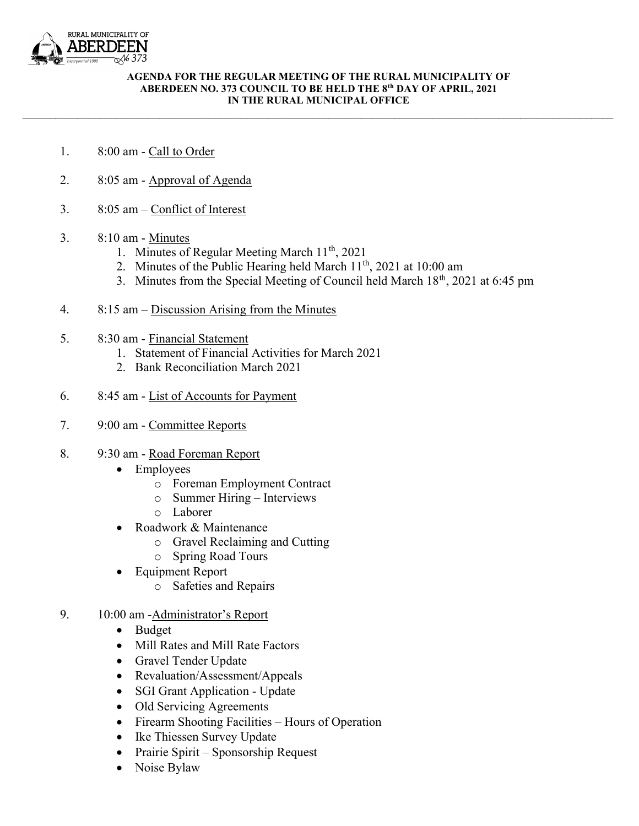

## AGENDA FOR THE REGULAR MEETING OF THE RURAL MUNICIPALITY OF ABERDEEN NO. 373 COUNCIL TO BE HELD THE 8th DAY OF APRIL, 2021 IN THE RURAL MUNICIPAL OFFICE

 $\mathcal{L}_\mathcal{L} = \mathcal{L}_\mathcal{L} = \mathcal{L}_\mathcal{L} = \mathcal{L}_\mathcal{L} = \mathcal{L}_\mathcal{L} = \mathcal{L}_\mathcal{L} = \mathcal{L}_\mathcal{L} = \mathcal{L}_\mathcal{L} = \mathcal{L}_\mathcal{L} = \mathcal{L}_\mathcal{L} = \mathcal{L}_\mathcal{L} = \mathcal{L}_\mathcal{L} = \mathcal{L}_\mathcal{L} = \mathcal{L}_\mathcal{L} = \mathcal{L}_\mathcal{L} = \mathcal{L}_\mathcal{L} = \mathcal{L}_\mathcal{L}$ 

- 1. 8:00 am Call to Order
- 2. 8:05 am Approval of Agenda
- 3. 8:05 am Conflict of Interest
- 3. 8:10 am Minutes
	- 1. Minutes of Regular Meeting March 11<sup>th</sup>, 2021
	- 2. Minutes of the Public Hearing held March  $11<sup>th</sup>$ , 2021 at 10:00 am
	- 3. Minutes from the Special Meeting of Council held March  $18<sup>th</sup>$ , 2021 at 6:45 pm
- 4. 8:15 am Discussion Arising from the Minutes
- 5. 8:30 am Financial Statement
	- 1. Statement of Financial Activities for March 2021
	- 2. Bank Reconciliation March 2021
- 6. 8:45 am List of Accounts for Payment
- 7. 9:00 am Committee Reports
- 8. 9:30 am Road Foreman Report
	- Employees
		- o Foreman Employment Contract
		- o Summer Hiring Interviews
		- o Laborer
	- Roadwork & Maintenance
		- o Gravel Reclaiming and Cutting
		- o Spring Road Tours
	- Equipment Report
		- o Safeties and Repairs
- 9. 10:00 am -Administrator's Report
	- Budget
	- Mill Rates and Mill Rate Factors
	- Gravel Tender Update
	- Revaluation/Assessment/Appeals
	- SGI Grant Application Update
	- Old Servicing Agreements
	- Firearm Shooting Facilities Hours of Operation
	- Ike Thiessen Survey Update
	- Prairie Spirit Sponsorship Request
	- Noise Bylaw